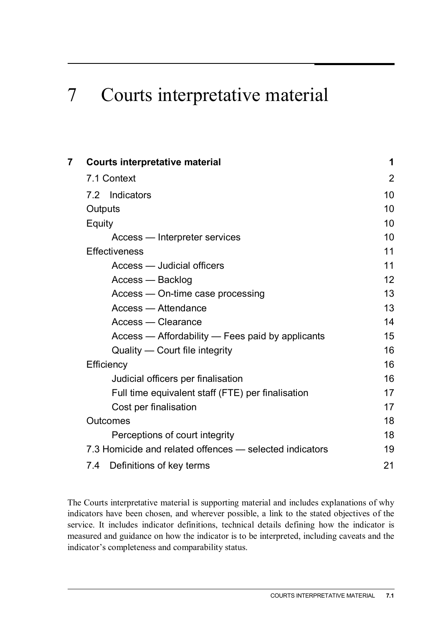# 7 Courts interpretative material

| 7 | <b>Courts interpretative material</b>                   | 1  |  |  |  |  |
|---|---------------------------------------------------------|----|--|--|--|--|
|   | 7.1 Context                                             |    |  |  |  |  |
|   | 7.2 Indicators                                          | 10 |  |  |  |  |
|   | Outputs                                                 |    |  |  |  |  |
|   | Equity                                                  |    |  |  |  |  |
|   | Access — Interpreter services                           | 10 |  |  |  |  |
|   | <b>Effectiveness</b>                                    |    |  |  |  |  |
|   | Access — Judicial officers                              | 11 |  |  |  |  |
|   | Access — Backlog                                        | 12 |  |  |  |  |
|   | Access - On-time case processing                        | 13 |  |  |  |  |
|   | <b>Access</b> — Attendance                              | 13 |  |  |  |  |
|   | <b>Access — Clearance</b>                               | 14 |  |  |  |  |
|   | Access — Affordability — Fees paid by applicants        | 15 |  |  |  |  |
|   | Quality — Court file integrity                          | 16 |  |  |  |  |
|   | Efficiency                                              |    |  |  |  |  |
|   | Judicial officers per finalisation                      | 16 |  |  |  |  |
|   | Full time equivalent staff (FTE) per finalisation       | 17 |  |  |  |  |
|   | Cost per finalisation                                   | 17 |  |  |  |  |
|   | <b>Outcomes</b>                                         | 18 |  |  |  |  |
|   | Perceptions of court integrity                          | 18 |  |  |  |  |
|   | 7.3 Homicide and related offences - selected indicators | 19 |  |  |  |  |
|   | 7.4 Definitions of key terms                            | 21 |  |  |  |  |

The Courts interpretative material is supporting material and includes explanations of why indicators have been chosen, and wherever possible, a link to the stated objectives of the service. It includes indicator definitions, technical details defining how the indicator is measured and guidance on how the indicator is to be interpreted, including caveats and the indicator's completeness and comparability status.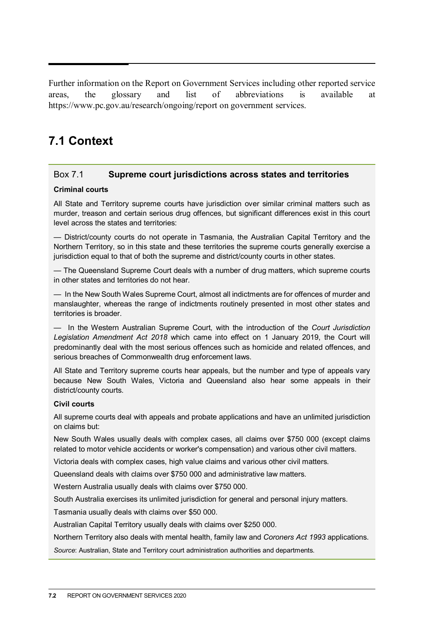<span id="page-1-0"></span>Further information on the Report on Government Services including other reported service areas, the glossary and list of abbreviations is available at https://www.pc.gov.au/research/ongoing/report on government services.

# **7.1 Context**

#### Box 7.1 **Supreme court jurisdictions across states and territories**

#### **Criminal courts**

All State and Territory supreme courts have jurisdiction over similar criminal matters such as murder, treason and certain serious drug offences, but significant differences exist in this court level across the states and territories:

— District/county courts do not operate in Tasmania, the Australian Capital Territory and the Northern Territory, so in this state and these territories the supreme courts generally exercise a jurisdiction equal to that of both the supreme and district/county courts in other states.

— The Queensland Supreme Court deals with a number of drug matters, which supreme courts in other states and territories do not hear.

— In the New South Wales Supreme Court, almost all indictments are for offences of murder and manslaughter, whereas the range of indictments routinely presented in most other states and territories is broader.

— In the Western Australian Supreme Court, with the introduction of the *Court Jurisdiction Legislation Amendment Act 2018* which came into effect on 1 January 2019, the Court will predominantly deal with the most serious offences such as homicide and related offences, and serious breaches of Commonwealth drug enforcement laws.

All State and Territory supreme courts hear appeals, but the number and type of appeals vary because New South Wales, Victoria and Queensland also hear some appeals in their district/county courts.

#### **Civil courts**

All supreme courts deal with appeals and probate applications and have an unlimited jurisdiction on claims but:

New South Wales usually deals with complex cases, all claims over \$750 000 (except claims related to motor vehicle accidents or worker's compensation) and various other civil matters.

Victoria deals with complex cases, high value claims and various other civil matters.

Queensland deals with claims over \$750 000 and administrative law matters.

Western Australia usually deals with claims over \$750 000.

South Australia exercises its unlimited jurisdiction for general and personal injury matters.

Tasmania usually deals with claims over \$50 000.

Australian Capital Territory usually deals with claims over \$250 000.

Northern Territory also deals with mental health, family law and *Coroners Act 1993* applications.

*Source*: Australian, State and Territory court administration authorities and departments.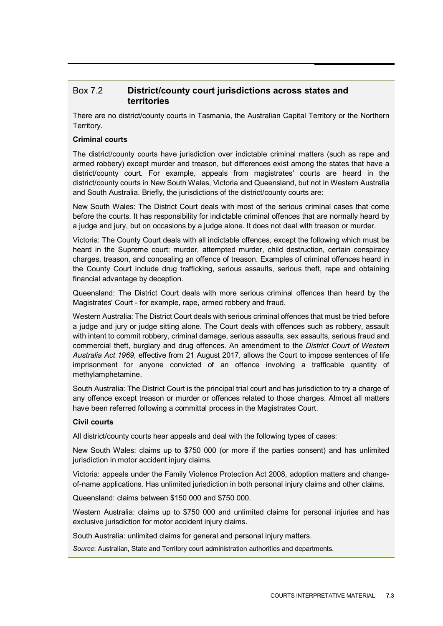#### Box 7.2 **District/county court jurisdictions across states and territories**

There are no district/county courts in Tasmania, the Australian Capital Territory or the Northern Territory.

#### **Criminal courts**

The district/county courts have jurisdiction over indictable criminal matters (such as rape and armed robbery) except murder and treason, but differences exist among the states that have a district/county court. For example, appeals from magistrates' courts are heard in the district/county courts in New South Wales, Victoria and Queensland, but not in Western Australia and South Australia. Briefly, the jurisdictions of the district/county courts are:

New South Wales: The District Court deals with most of the serious criminal cases that come before the courts. It has responsibility for indictable criminal offences that are normally heard by a judge and jury, but on occasions by a judge alone. It does not deal with treason or murder.

Victoria: The County Court deals with all indictable offences, except the following which must be heard in the Supreme court: murder, attempted murder, child destruction, certain conspiracy charges, treason, and concealing an offence of treason. Examples of criminal offences heard in the County Court include drug trafficking, serious assaults, serious theft, rape and obtaining financial advantage by deception.

Queensland: The District Court deals with more serious criminal offences than heard by the Magistrates' Court - for example, rape, armed robbery and fraud.

Western Australia: The District Court deals with serious criminal offences that must be tried before a judge and jury or judge sitting alone. The Court deals with offences such as robbery, assault with intent to commit robbery, criminal damage, serious assaults, sex assaults, serious fraud and commercial theft, burglary and drug offences. An amendment to the *District Court of Western Australia Act 1969*, effective from 21 August 2017, allows the Court to impose sentences of life imprisonment for anyone convicted of an offence involving a trafficable quantity of methylamphetamine.

South Australia: The District Court is the principal trial court and has jurisdiction to try a charge of any offence except treason or murder or offences related to those charges. Almost all matters have been referred following a committal process in the Magistrates Court.

#### **Civil courts**

All district/county courts hear appeals and deal with the following types of cases:

New South Wales: claims up to \$750 000 (or more if the parties consent) and has unlimited jurisdiction in motor accident injury claims.

Victoria: appeals under the Family Violence Protection Act 2008, adoption matters and changeof-name applications. Has unlimited jurisdiction in both personal injury claims and other claims.

Queensland: claims between \$150 000 and \$750 000.

Western Australia: claims up to \$750 000 and unlimited claims for personal injuries and has exclusive jurisdiction for motor accident injury claims.

South Australia: unlimited claims for general and personal injury matters.

*Source*: Australian, State and Territory court administration authorities and departments.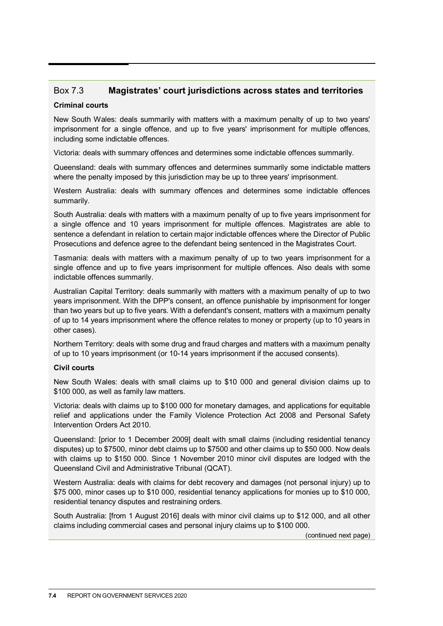# Box 7.3 **Magistrates' court jurisdictions across states and territories**

#### **Criminal courts**

New South Wales: deals summarily with matters with a maximum penalty of up to two years' imprisonment for a single offence, and up to five years' imprisonment for multiple offences, including some indictable offences.

Victoria: deals with summary offences and determines some indictable offences summarily.

Queensland: deals with summary offences and determines summarily some indictable matters where the penalty imposed by this jurisdiction may be up to three years' imprisonment.

Western Australia: deals with summary offences and determines some indictable offences summarily.

South Australia: deals with matters with a maximum penalty of up to five years imprisonment for a single offence and 10 years imprisonment for multiple offences. Magistrates are able to sentence a defendant in relation to certain major indictable offences where the Director of Public Prosecutions and defence agree to the defendant being sentenced in the Magistrates Court.

Tasmania: deals with matters with a maximum penalty of up to two years imprisonment for a single offence and up to five years imprisonment for multiple offences. Also deals with some indictable offences summarily.

Australian Capital Territory: deals summarily with matters with a maximum penalty of up to two years imprisonment. With the DPP's consent, an offence punishable by imprisonment for longer than two years but up to five years. With a defendant's consent, matters with a maximum penalty of up to 14 years imprisonment where the offence relates to money or property (up to 10 years in other cases).

Northern Territory: deals with some drug and fraud charges and matters with a maximum penalty of up to 10 years imprisonment (or 10-14 years imprisonment if the accused consents).

#### **Civil courts**

New South Wales: deals with small claims up to \$10 000 and general division claims up to \$100 000, as well as family law matters.

Victoria: deals with claims up to \$100 000 for monetary damages, and applications for equitable relief and applications under the Family Violence Protection Act 2008 and Personal Safety Intervention Orders Act 2010.

Queensland: [prior to 1 December 2009] dealt with small claims (including residential tenancy disputes) up to \$7500, minor debt claims up to \$7500 and other claims up to \$50 000. Now deals with claims up to \$150 000. Since 1 November 2010 minor civil disputes are lodged with the Queensland Civil and Administrative Tribunal (QCAT).

Western Australia: deals with claims for debt recovery and damages (not personal injury) up to \$75 000, minor cases up to \$10 000, residential tenancy applications for monies up to \$10 000, residential tenancy disputes and restraining orders.

South Australia: [from 1 August 2016] deals with minor civil claims up to \$12 000, and all other claims including commercial cases and personal injury claims up to \$100 000.

(continued next page)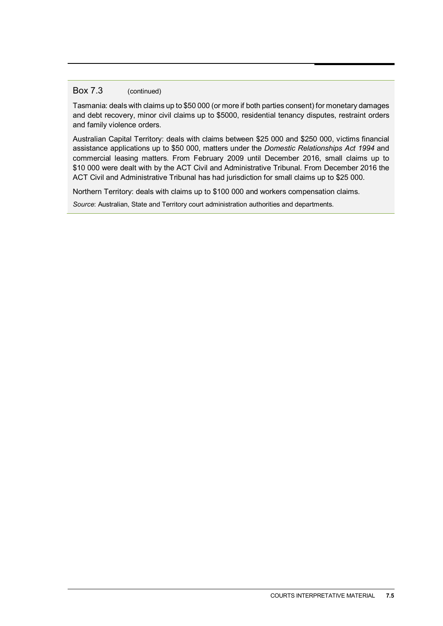#### Box 7.3 (continued)

Tasmania: deals with claims up to \$50 000 (or more if both parties consent) for monetary damages and debt recovery, minor civil claims up to \$5000, residential tenancy disputes, restraint orders and family violence orders.

Australian Capital Territory: deals with claims between \$25 000 and \$250 000, victims financial assistance applications up to \$50 000, matters under the *Domestic Relationships Act 1994* and commercial leasing matters. From February 2009 until December 2016, small claims up to \$10 000 were dealt with by the ACT Civil and Administrative Tribunal. From December 2016 the ACT Civil and Administrative Tribunal has had jurisdiction for small claims up to \$25 000.

Northern Territory: deals with claims up to \$100 000 and workers compensation claims.

*Source*: Australian, State and Territory court administration authorities and departments.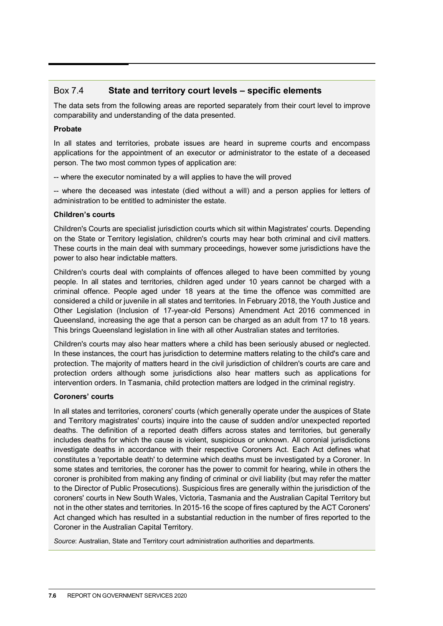#### Box 7.4 **State and territory court levels – specific elements**

The data sets from the following areas are reported separately from their court level to improve comparability and understanding of the data presented.

#### **Probate**

In all states and territories, probate issues are heard in supreme courts and encompass applications for the appointment of an executor or administrator to the estate of a deceased person. The two most common types of application are:

-- where the executor nominated by a will applies to have the will proved

-- where the deceased was intestate (died without a will) and a person applies for letters of administration to be entitled to administer the estate.

#### **Children's courts**

Children's Courts are specialist jurisdiction courts which sit within Magistrates' courts. Depending on the State or Territory legislation, children's courts may hear both criminal and civil matters. These courts in the main deal with summary proceedings, however some jurisdictions have the power to also hear indictable matters.

Children's courts deal with complaints of offences alleged to have been committed by young people. In all states and territories, children aged under 10 years cannot be charged with a criminal offence. People aged under 18 years at the time the offence was committed are considered a child or juvenile in all states and territories. In February 2018, the Youth Justice and Other Legislation (Inclusion of 17-year-old Persons) Amendment Act 2016 commenced in Queensland, increasing the age that a person can be charged as an adult from 17 to 18 years. This brings Queensland legislation in line with all other Australian states and territories.

Children's courts may also hear matters where a child has been seriously abused or neglected. In these instances, the court has jurisdiction to determine matters relating to the child's care and protection. The majority of matters heard in the civil jurisdiction of children's courts are care and protection orders although some jurisdictions also hear matters such as applications for intervention orders. In Tasmania, child protection matters are lodged in the criminal registry.

#### **Coroners' courts**

In all states and territories, coroners' courts (which generally operate under the auspices of State and Territory magistrates' courts) inquire into the cause of sudden and/or unexpected reported deaths. The definition of a reported death differs across states and territories, but generally includes deaths for which the cause is violent, suspicious or unknown. All coronial jurisdictions investigate deaths in accordance with their respective Coroners Act. Each Act defines what constitutes a 'reportable death' to determine which deaths must be investigated by a Coroner. In some states and territories, the coroner has the power to commit for hearing, while in others the coroner is prohibited from making any finding of criminal or civil liability (but may refer the matter to the Director of Public Prosecutions). Suspicious fires are generally within the jurisdiction of the coroners' courts in New South Wales, Victoria, Tasmania and the Australian Capital Territory but not in the other states and territories. In 2015-16 the scope of fires captured by the ACT Coroners' Act changed which has resulted in a substantial reduction in the number of fires reported to the Coroner in the Australian Capital Territory.

*Source*: Australian, State and Territory court administration authorities and departments.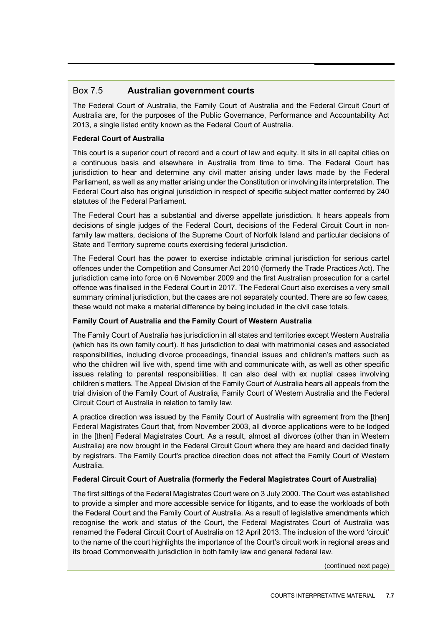### Box 7.5 **Australian government courts**

The Federal Court of Australia, the Family Court of Australia and the Federal Circuit Court of Australia are, for the purposes of the Public Governance, Performance and Accountability Act 2013, a single listed entity known as the Federal Court of Australia.

#### **Federal Court of Australia**

This court is a superior court of record and a court of law and equity. It sits in all capital cities on a continuous basis and elsewhere in Australia from time to time. The Federal Court has jurisdiction to hear and determine any civil matter arising under laws made by the Federal Parliament, as well as any matter arising under the Constitution or involving its interpretation. The Federal Court also has original jurisdiction in respect of specific subject matter conferred by 240 statutes of the Federal Parliament.

The Federal Court has a substantial and diverse appellate jurisdiction. It hears appeals from decisions of single judges of the Federal Court, decisions of the Federal Circuit Court in nonfamily law matters, decisions of the Supreme Court of Norfolk Island and particular decisions of State and Territory supreme courts exercising federal jurisdiction.

The Federal Court has the power to exercise indictable criminal jurisdiction for serious cartel offences under the Competition and Consumer Act 2010 (formerly the Trade Practices Act). The jurisdiction came into force on 6 November 2009 and the first Australian prosecution for a cartel offence was finalised in the Federal Court in 2017. The Federal Court also exercises a very small summary criminal jurisdiction, but the cases are not separately counted. There are so few cases, these would not make a material difference by being included in the civil case totals.

#### **Family Court of Australia and the Family Court of Western Australia**

The Family Court of Australia has jurisdiction in all states and territories except Western Australia (which has its own family court). It has jurisdiction to deal with matrimonial cases and associated responsibilities, including divorce proceedings, financial issues and children's matters such as who the children will live with, spend time with and communicate with, as well as other specific issues relating to parental responsibilities. It can also deal with ex nuptial cases involving children's matters. The Appeal Division of the Family Court of Australia hears all appeals from the trial division of the Family Court of Australia, Family Court of Western Australia and the Federal Circuit Court of Australia in relation to family law.

A practice direction was issued by the Family Court of Australia with agreement from the [then] Federal Magistrates Court that, from November 2003, all divorce applications were to be lodged in the [then] Federal Magistrates Court. As a result, almost all divorces (other than in Western Australia) are now brought in the Federal Circuit Court where they are heard and decided finally by registrars. The Family Court's practice direction does not affect the Family Court of Western Australia.

#### **Federal Circuit Court of Australia (formerly the Federal Magistrates Court of Australia)**

The first sittings of the Federal Magistrates Court were on 3 July 2000. The Court was established to provide a simpler and more accessible service for litigants, and to ease the workloads of both the Federal Court and the Family Court of Australia. As a result of legislative amendments which recognise the work and status of the Court, the Federal Magistrates Court of Australia was renamed the Federal Circuit Court of Australia on 12 April 2013. The inclusion of the word 'circuit' to the name of the court highlights the importance of the Court's circuit work in regional areas and its broad Commonwealth jurisdiction in both family law and general federal law.

(continued next page)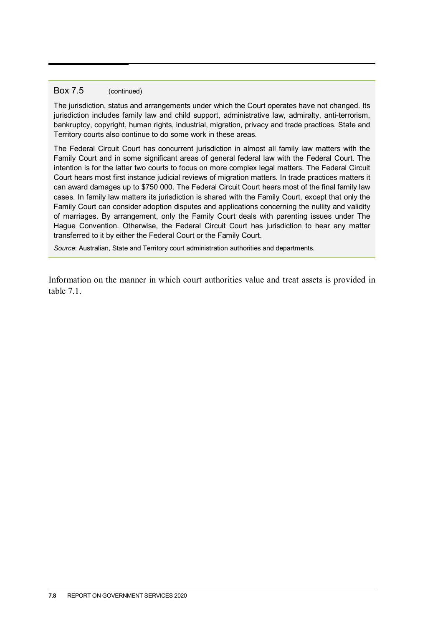#### Box 7.5 (continued)

The jurisdiction, status and arrangements under which the Court operates have not changed. Its jurisdiction includes family law and child support, administrative law, admiralty, anti-terrorism, bankruptcy, copyright, human rights, industrial, migration, privacy and trade practices. State and Territory courts also continue to do some work in these areas.

The Federal Circuit Court has concurrent jurisdiction in almost all family law matters with the Family Court and in some significant areas of general federal law with the Federal Court. The intention is for the latter two courts to focus on more complex legal matters. The Federal Circuit Court hears most first instance judicial reviews of migration matters. In trade practices matters it can award damages up to \$750 000. The Federal Circuit Court hears most of the final family law cases. In family law matters its jurisdiction is shared with the Family Court, except that only the Family Court can consider adoption disputes and applications concerning the nullity and validity of marriages. By arrangement, only the Family Court deals with parenting issues under The Hague Convention. Otherwise, the Federal Circuit Court has jurisdiction to hear any matter transferred to it by either the Federal Court or the Family Court.

*Source*: Australian, State and Territory court administration authorities and departments.

Information on the manner in which court authorities value and treat assets is provided in table 7.1.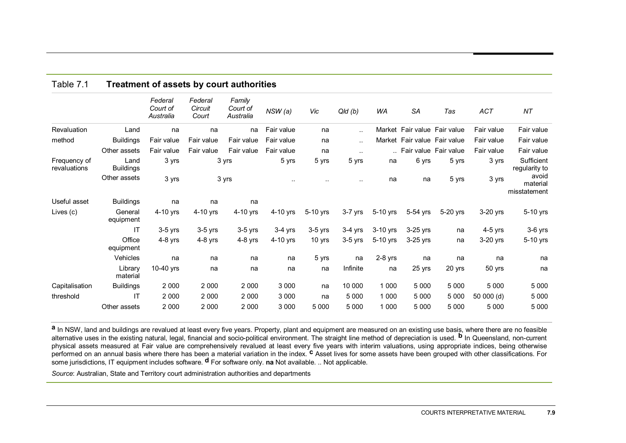| Table 7.1                    | Treatment of assets by court authorities |                                  |                             |                                 |            |           |                      |            |                              |          |            |                                   |
|------------------------------|------------------------------------------|----------------------------------|-----------------------------|---------------------------------|------------|-----------|----------------------|------------|------------------------------|----------|------------|-----------------------------------|
|                              |                                          | Federal<br>Court of<br>Australia | Federal<br>Circuit<br>Court | Family<br>Court of<br>Australia | NSW(a)     | Vic       | Q/d(b)               | WA         | <b>SA</b>                    | Tas      | ACT        | NT                                |
| Revaluation                  | Land                                     | na                               | na                          | na                              | Fair value | na        | $\ddotsc$            |            | Market Fair value Fair value |          | Fair value | Fair value                        |
| method                       | <b>Buildings</b>                         | Fair value                       | Fair value                  | Fair value                      | Fair value | na        | $\ddot{\phantom{a}}$ |            | Market Fair value Fair value |          | Fair value | Fair value                        |
|                              | Other assets                             | Fair value                       | Fair value                  | Fair value                      | Fair value | na        | $\sim$ $\sim$        |            | Fair value Fair value        |          | Fair value | Fair value                        |
| Frequency of<br>revaluations | Land<br><b>Buildings</b>                 | 3 yrs                            |                             | 3 yrs                           | 5 yrs      | 5 yrs     | 5 yrs                | na         | 6 yrs                        | 5 yrs    | 3 yrs      | Sufficient<br>regularity to       |
|                              | Other assets                             | 3 yrs                            |                             | 3 yrs                           |            |           |                      | na         | na                           | 5 yrs    | 3 yrs      | avoid<br>material<br>misstatement |
| Useful asset                 | <b>Buildings</b>                         | na                               | na                          | na                              |            |           |                      |            |                              |          |            |                                   |
| Lives (c)                    | General<br>equipment                     | 4-10 yrs                         | 4-10 yrs                    | 4-10 yrs                        | 4-10 yrs   | 5-10 yrs  | $3-7$ yrs            | 5-10 yrs   | 5-54 yrs                     | 5-20 yrs | 3-20 yrs   | 5-10 yrs                          |
|                              | $\mathsf{I}\mathsf{T}$                   | $3-5$ yrs                        | $3-5$ yrs                   | $3-5$ yrs                       | $3-4$ yrs  | $3-5$ yrs | $3-4$ yrs            | $3-10$ yrs | 3-25 yrs                     | na       | $4-5$ yrs  | $3-6$ yrs                         |
|                              | Office<br>equipment                      | $4-8$ yrs                        | $4-8$ yrs                   | $4-8$ yrs                       | 4-10 yrs   | 10 yrs    | $3-5$ yrs            | 5-10 yrs   | 3-25 yrs                     | na       | 3-20 yrs   | 5-10 yrs                          |
|                              | Vehicles                                 | na                               | na                          | na                              | na         | 5 yrs     | na                   | $2-8$ yrs  | na                           | na       | na         | na                                |
|                              | Library<br>material                      | 10-40 yrs                        | na                          | na                              | na         | na        | Infinite             | na         | 25 yrs                       | 20 yrs   | 50 yrs     | na                                |
| Capitalisation               | <b>Buildings</b>                         | 2 0 0 0                          | 2 0 0 0                     | 2 0 0 0                         | 3 0 0 0    | na        | 10 000               | 1 0 0 0    | 5 0 0 0                      | 5 0 0 0  | 5 0 0 0    | 5 0 0 0                           |
| threshold                    | IT                                       | 2 0 0 0                          | 2 0 0 0                     | 2 0 0 0                         | 3 0 0 0    | na        | 5 0 0 0              | 1 0 0 0    | 5 0 0 0                      | 5 0 0 0  | 50 000 (d) | 5 0 0 0                           |
|                              | Other assets                             | 2 0 0 0                          | 2 0 0 0                     | 2 0 0 0                         | 3 0 0 0    | 5 0 0 0   | 5 0 0 0              | 1 0 0 0    | 5 0 0 0                      | 5 0 0 0  | 5 0 0 0    | 5 0 0 0                           |

a In NSW, land and buildings are revalued at least every five years. Property, plant and equipment are measured on an existing use basis, where there are no feasible alternative uses in the existing natural, legal, financial and socio-political environment. The straight line method of depreciation is used. **b** In Queensland, non-current physical assets measured at Fair value are comprehensively revalued at least every five years with interim valuations, using appropriate indices, being otherwise<br>performed on an annual basis where there has been a material some jurisdictions, IT equipment includes software. **d** For software only. **na** Not available. .. Not applicable.

*Source*: Australian, State and Territory court administration authorities and departments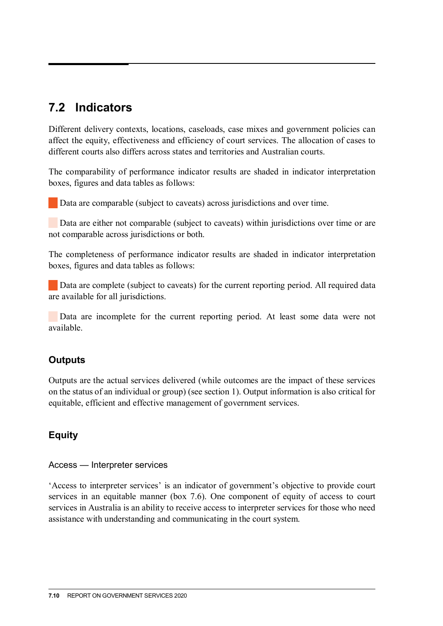# <span id="page-9-0"></span>**7.2 Indicators**

Different delivery contexts, locations, caseloads, case mixes and government policies can affect the equity, effectiveness and efficiency of court services. The allocation of cases to different courts also differs across states and territories and Australian courts.

The comparability of performance indicator results are shaded in indicator interpretation boxes, figures and data tables as follows:

Data are comparable (subject to caveats) across jurisdictions and over time.

Data are either not comparable (subject to caveats) within jurisdictions over time or are not comparable across jurisdictions or both.

The completeness of performance indicator results are shaded in indicator interpretation boxes, figures and data tables as follows:

Data are complete (subject to caveats) for the current reporting period. All required data are available for all jurisdictions.

 Data are incomplete for the current reporting period. At least some data were not available.

# **Outputs**

Outputs are the actual services delivered (while outcomes are the impact of these services on the status of an individual or group) (see section 1). Output information is also critical for equitable, efficient and effective management of government services.

# **Equity**

Access — Interpreter services

'Access to interpreter services' is an indicator of government's objective to provide court services in an equitable manner (box 7.6). One component of equity of access to court services in Australia is an ability to receive access to interpreter services for those who need assistance with understanding and communicating in the court system.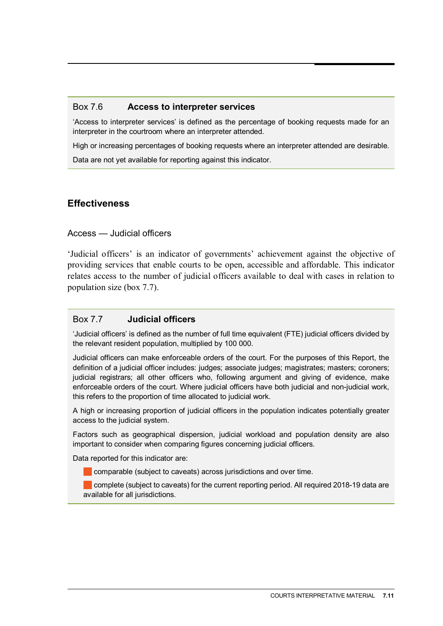#### Box 7.6 **Access to interpreter services**

'Access to interpreter services' is defined as the percentage of booking requests made for an interpreter in the courtroom where an interpreter attended.

High or increasing percentages of booking requests where an interpreter attended are desirable.

Data are not yet available for reporting against this indicator.

# **Effectiveness**

#### Access — Judicial officers

'Judicial officers' is an indicator of governments' achievement against the objective of providing services that enable courts to be open, accessible and affordable. This indicator relates access to the number of judicial officers available to deal with cases in relation to population size (box 7.7).

#### Box 7.7 **Judicial officers**

'Judicial officers' is defined as the number of full time equivalent (FTE) judicial officers divided by the relevant resident population, multiplied by 100 000.

Judicial officers can make enforceable orders of the court. For the purposes of this Report, the definition of a judicial officer includes: judges; associate judges; magistrates; masters; coroners; judicial registrars; all other officers who, following argument and giving of evidence, make enforceable orders of the court. Where judicial officers have both judicial and non-judicial work, this refers to the proportion of time allocated to judicial work.

A high or increasing proportion of judicial officers in the population indicates potentially greater access to the judicial system.

Factors such as geographical dispersion, judicial workload and population density are also important to consider when comparing figures concerning judicial officers.

Data reported for this indicator are:

comparable (subject to caveats) across jurisdictions and over time.

complete (subject to caveats) for the current reporting period. All required 2018-19 data are available for all jurisdictions.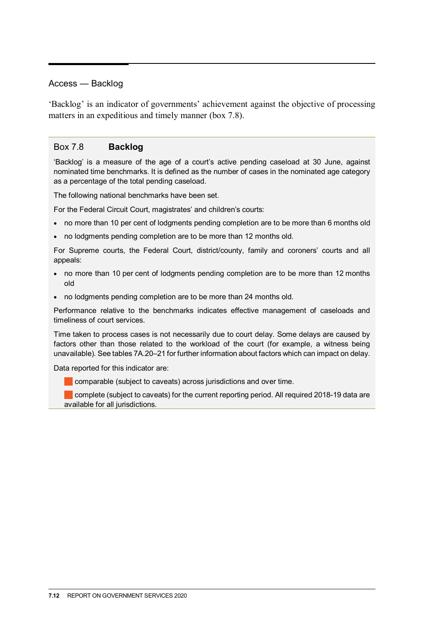#### Access — Backlog

'Backlog' is an indicator of governments' achievement against the objective of processing matters in an expeditious and timely manner (box 7.8).

#### Box 7.8 **Backlog**

'Backlog' is a measure of the age of a court's active pending caseload at 30 June, against nominated time benchmarks. It is defined as the number of cases in the nominated age category as a percentage of the total pending caseload.

The following national benchmarks have been set.

For the Federal Circuit Court, magistrates' and children's courts:

- no more than 10 per cent of lodgments pending completion are to be more than 6 months old
- no lodgments pending completion are to be more than 12 months old.

For Supreme courts, the Federal Court, district/county, family and coroners' courts and all appeals:

- no more than 10 per cent of lodgments pending completion are to be more than 12 months old
- no lodgments pending completion are to be more than 24 months old.

Performance relative to the benchmarks indicates effective management of caseloads and timeliness of court services.

Time taken to process cases is not necessarily due to court delay. Some delays are caused by factors other than those related to the workload of the court (for example, a witness being unavailable). See tables 7A.20–21 for further information about factors which can impact on delay.

Data reported for this indicator are:

comparable (subject to caveats) across jurisdictions and over time.

complete (subject to caveats) for the current reporting period. All required 2018-19 data are available for all jurisdictions.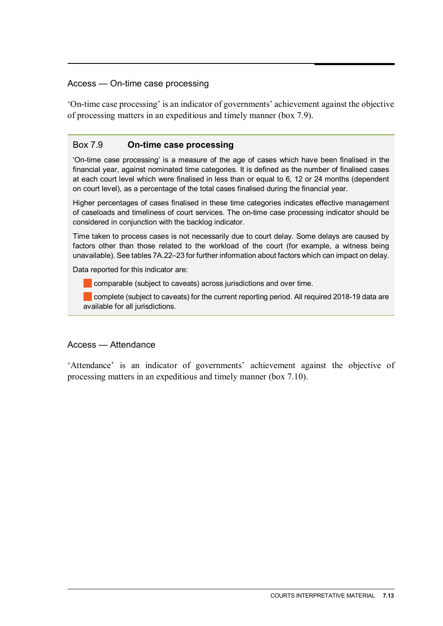#### Access — On-time case processing

'On-time case processing' is an indicator of governments' achievement against the objective of processing matters in an expeditious and timely manner (box 7.9).

#### Box 7.9 **On-time case processing**

'On-time case processing' is a measure of the age of cases which have been finalised in the financial year, against nominated time categories. It is defined as the number of finalised cases at each court level which were finalised in less than or equal to 6, 12 or 24 months (dependent on court level), as a percentage of the total cases finalised during the financial year.

Higher percentages of cases finalised in these time categories indicates effective management of caseloads and timeliness of court services. The on-time case processing indicator should be considered in conjunction with the backlog indicator.

Time taken to process cases is not necessarily due to court delay. Some delays are caused by factors other than those related to the workload of the court (for example, a witness being unavailable). See tables 7A.22–23 for further information about factors which can impact on delay.

Data reported for this indicator are:

comparable (subject to caveats) across jurisdictions and over time.

complete (subject to caveats) for the current reporting period. All required 2018-19 data are available for all jurisdictions.

#### Access — Attendance

'Attendance' is an indicator of governments' achievement against the objective of processing matters in an expeditious and timely manner (box 7.10).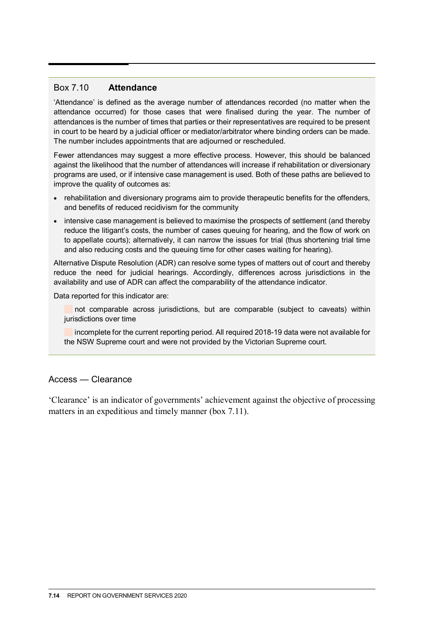#### Box 7.10 **Attendance**

'Attendance' is defined as the average number of attendances recorded (no matter when the attendance occurred) for those cases that were finalised during the year. The number of attendances is the number of times that parties or their representatives are required to be present in court to be heard by a judicial officer or mediator/arbitrator where binding orders can be made. The number includes appointments that are adjourned or rescheduled.

Fewer attendances may suggest a more effective process. However, this should be balanced against the likelihood that the number of attendances will increase if rehabilitation or diversionary programs are used, or if intensive case management is used. Both of these paths are believed to improve the quality of outcomes as:

- rehabilitation and diversionary programs aim to provide therapeutic benefits for the offenders, and benefits of reduced recidivism for the community
- intensive case management is believed to maximise the prospects of settlement (and thereby reduce the litigant's costs, the number of cases queuing for hearing, and the flow of work on to appellate courts); alternatively, it can narrow the issues for trial (thus shortening trial time and also reducing costs and the queuing time for other cases waiting for hearing).

Alternative Dispute Resolution (ADR) can resolve some types of matters out of court and thereby reduce the need for judicial hearings. Accordingly, differences across jurisdictions in the availability and use of ADR can affect the comparability of the attendance indicator.

Data reported for this indicator are:

not comparable across jurisdictions, but are comparable (subject to caveats) within jurisdictions over time

incomplete for the current reporting period. All required 2018-19 data were not available for the NSW Supreme court and were not provided by the Victorian Supreme court.

#### Access — Clearance

'Clearance' is an indicator of governments' achievement against the objective of processing matters in an expeditious and timely manner (box 7.11).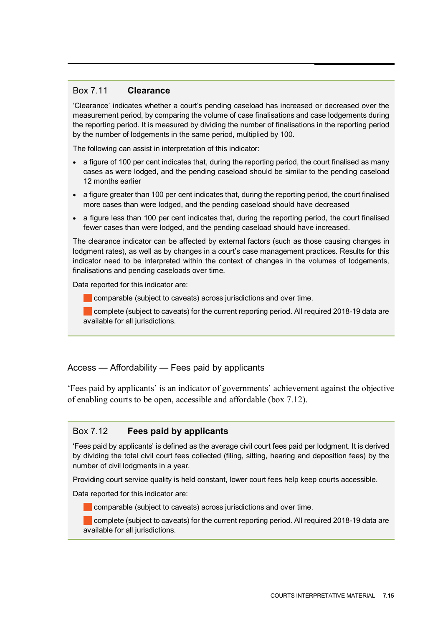#### Box 7.11 **Clearance**

'Clearance' indicates whether a court's pending caseload has increased or decreased over the measurement period, by comparing the volume of case finalisations and case lodgements during the reporting period. It is measured by dividing the number of finalisations in the reporting period by the number of lodgements in the same period, multiplied by 100.

The following can assist in interpretation of this indicator:

- a figure of 100 per cent indicates that, during the reporting period, the court finalised as many cases as were lodged, and the pending caseload should be similar to the pending caseload 12 months earlier
- a figure greater than 100 per cent indicates that, during the reporting period, the court finalised more cases than were lodged, and the pending caseload should have decreased
- a figure less than 100 per cent indicates that, during the reporting period, the court finalised fewer cases than were lodged, and the pending caseload should have increased.

The clearance indicator can be affected by external factors (such as those causing changes in lodgment rates), as well as by changes in a court's case management practices. Results for this indicator need to be interpreted within the context of changes in the volumes of lodgements, finalisations and pending caseloads over time.

Data reported for this indicator are:

**Comparable (subject to caveats) across jurisdictions and over time.** 

complete (subject to caveats) for the current reporting period. All required 2018-19 data are available for all jurisdictions.

#### Access — Affordability — Fees paid by applicants

'Fees paid by applicants' is an indicator of governments' achievement against the objective of enabling courts to be open, accessible and affordable (box 7.12).

#### Box 7.12 **Fees paid by applicants**

'Fees paid by applicants' is defined as the average civil court fees paid per lodgment. It is derived by dividing the total civil court fees collected (filing, sitting, hearing and deposition fees) by the number of civil lodgments in a year.

Providing court service quality is held constant, lower court fees help keep courts accessible.

Data reported for this indicator are:

comparable (subject to caveats) across jurisdictions and over time.

complete (subject to caveats) for the current reporting period. All required 2018-19 data are available for all jurisdictions.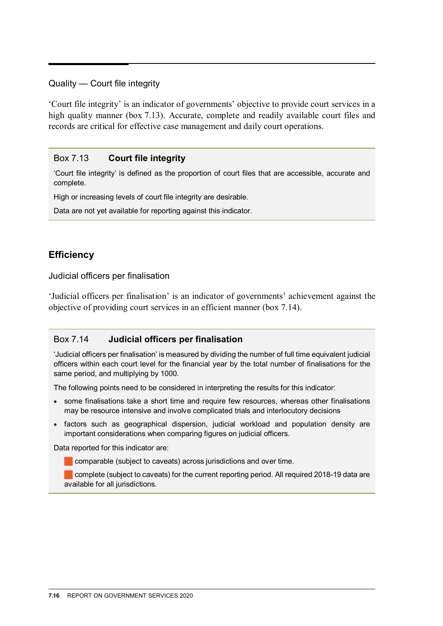#### Quality — Court file integrity

'Court file integrity' is an indicator of governments' objective to provide court services in a high quality manner (box 7.13). Accurate, complete and readily available court files and records are critical for effective case management and daily court operations.

#### Box 7.13 **Court file integrity**

'Court file integrity' is defined as the proportion of court files that are accessible, accurate and complete.

High or increasing levels of court file integrity are desirable.

Data are not yet available for reporting against this indicator.

# **Efficiency**

Judicial officers per finalisation

'Judicial officers per finalisation' is an indicator of governments' achievement against the objective of providing court services in an efficient manner (box 7.14).

#### Box 7.14 **Judicial officers per finalisation**

'Judicial officers per finalisation' is measured by dividing the number of full time equivalent judicial officers within each court level for the financial year by the total number of finalisations for the same period, and multiplying by 1000.

The following points need to be considered in interpreting the results for this indicator:

- some finalisations take a short time and require few resources, whereas other finalisations may be resource intensive and involve complicated trials and interlocutory decisions
- factors such as geographical dispersion, judicial workload and population density are important considerations when comparing figures on judicial officers.

Data reported for this indicator are:

**Comparable (subject to caveats) across jurisdictions and over time.** 

complete (subject to caveats) for the current reporting period. All required 2018-19 data are available for all jurisdictions.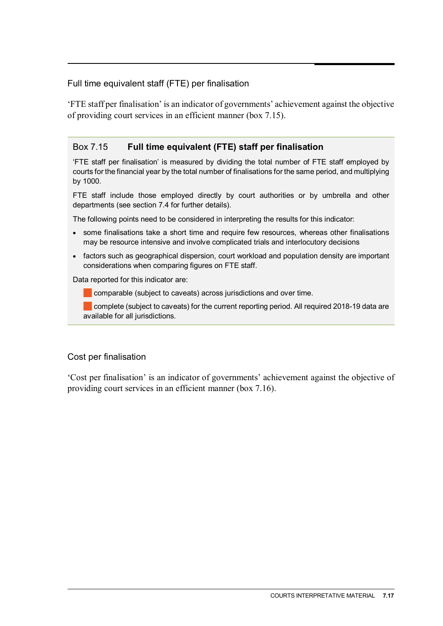### Full time equivalent staff (FTE) per finalisation

'FTE staff per finalisation' is an indicator of governments' achievement against the objective of providing court services in an efficient manner (box 7.15).

# Box 7.15 **Full time equivalent (FTE) staff per finalisation**

'FTE staff per finalisation' is measured by dividing the total number of FTE staff employed by courts for the financial year by the total number of finalisations for the same period, and multiplying by 1000.

FTE staff include those employed directly by court authorities or by umbrella and other departments (see section 7.4 for further details).

The following points need to be considered in interpreting the results for this indicator:

- some finalisations take a short time and require few resources, whereas other finalisations may be resource intensive and involve complicated trials and interlocutory decisions
- factors such as geographical dispersion, court workload and population density are important considerations when comparing figures on FTE staff.

Data reported for this indicator are:

comparable (subject to caveats) across jurisdictions and over time.

complete (subject to caveats) for the current reporting period. All required 2018-19 data are available for all jurisdictions.

#### Cost per finalisation

'Cost per finalisation' is an indicator of governments' achievement against the objective of providing court services in an efficient manner (box 7.16).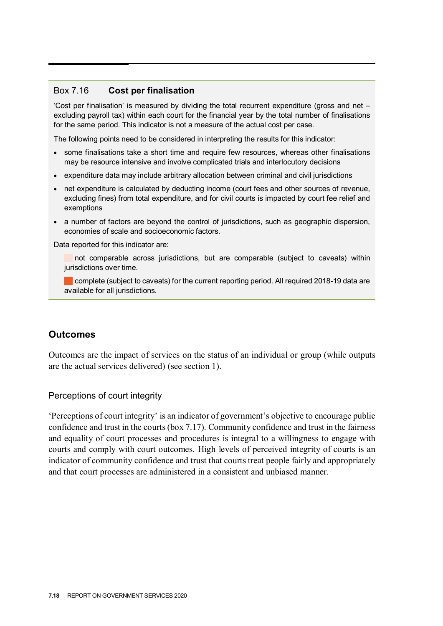#### Box 7.16 **Cost per finalisation**

'Cost per finalisation' is measured by dividing the total recurrent expenditure (gross and net – excluding payroll tax) within each court for the financial year by the total number of finalisations for the same period. This indicator is not a measure of the actual cost per case.

The following points need to be considered in interpreting the results for this indicator:

- some finalisations take a short time and require few resources, whereas other finalisations may be resource intensive and involve complicated trials and interlocutory decisions
- expenditure data may include arbitrary allocation between criminal and civil jurisdictions
- net expenditure is calculated by deducting income (court fees and other sources of revenue, excluding fines) from total expenditure, and for civil courts is impacted by court fee relief and exemptions
- a number of factors are beyond the control of jurisdictions, such as geographic dispersion, economies of scale and socioeconomic factors.

Data reported for this indicator are:

not comparable across jurisdictions, but are comparable (subject to caveats) within jurisdictions over time.

complete (subject to caveats) for the current reporting period. All required 2018-19 data are available for all jurisdictions.

# **Outcomes**

Outcomes are the impact of services on the status of an individual or group (while outputs are the actual services delivered) (see section 1).

Perceptions of court integrity

'Perceptions of court integrity' is an indicator of government's objective to encourage public confidence and trust in the courts (box 7.17). Community confidence and trust in the fairness and equality of court processes and procedures is integral to a willingness to engage with courts and comply with court outcomes. High levels of perceived integrity of courts is an indicator of community confidence and trust that courts treat people fairly and appropriately and that court processes are administered in a consistent and unbiased manner.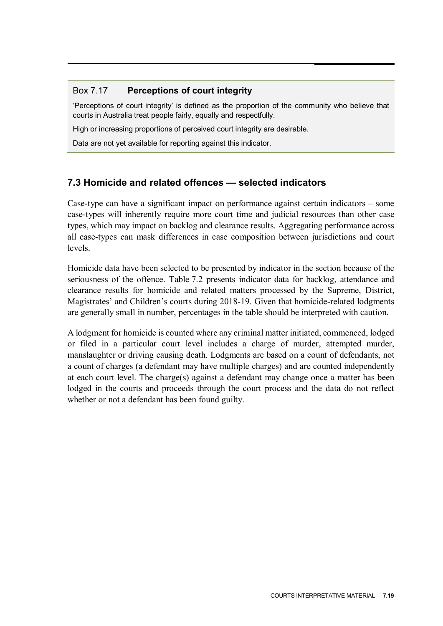# <span id="page-18-0"></span>Box 7.17 **Perceptions of court integrity**

'Perceptions of court integrity' is defined as the proportion of the community who believe that courts in Australia treat people fairly, equally and respectfully.

High or increasing proportions of perceived court integrity are desirable.

Data are not yet available for reporting against this indicator.

# **7.3 Homicide and related offences — selected indicators**

Case-type can have a significant impact on performance against certain indicators – some case-types will inherently require more court time and judicial resources than other case types, which may impact on backlog and clearance results. Aggregating performance across all case-types can mask differences in case composition between jurisdictions and court levels.

Homicide data have been selected to be presented by indicator in the section because of the seriousness of the offence. Table 7.2 presents indicator data for backlog, attendance and clearance results for homicide and related matters processed by the Supreme, District, Magistrates' and Children's courts during 2018-19. Given that homicide-related lodgments are generally small in number, percentages in the table should be interpreted with caution.

A lodgment for homicide is counted where any criminal matter initiated, commenced, lodged or filed in a particular court level includes a charge of murder, attempted murder, manslaughter or driving causing death. Lodgments are based on a count of defendants, not a count of charges (a defendant may have multiple charges) and are counted independently at each court level. The charge(s) against a defendant may change once a matter has been lodged in the courts and proceeds through the court process and the data do not reflect whether or not a defendant has been found guilty.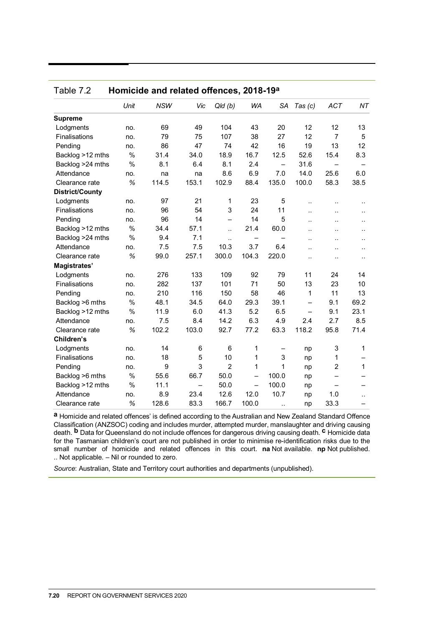| <b>WA</b><br>NT<br>Unit<br><b>NSW</b><br>Vic<br>Qld(b)<br>SA<br><b>ACT</b><br>Tas $(c)$<br><b>Supreme</b><br>69<br>49<br>104<br>43<br>20<br>12<br>12<br>13<br>Lodgments<br>no.<br>107<br>38<br>27<br>12<br>Finalisations<br>79<br>75<br>$\overline{7}$<br>5<br>no.<br>86<br>47<br>74<br>42<br>16<br>19<br>13<br>12<br>Pending<br>no.<br>16.7<br>%<br>18.9<br>12.5<br>52.6<br>15.4<br>8.3<br>Backlog >12 mths<br>31.4<br>34.0<br>$\%$<br>8.1<br>6.4<br>8.1<br>2.4<br>31.6<br>Backlog >24 mths<br>$\overline{\phantom{0}}$<br>8.6<br>6.9<br>7.0<br>14.0<br>25.6<br>6.0<br>Attendance<br>no.<br>na<br>na<br>153.1<br>102.9<br>88.4<br>135.0<br>100.0<br>58.3<br>38.5<br>%<br>114.5<br>Clearance rate<br><b>District/County</b><br>97<br>21<br>23<br>5<br>Lodgments<br>1<br>no.<br>$\ddot{\phantom{a}}$<br>96<br>54<br>3<br>24<br>11<br>Finalisations<br>no.<br>ă.<br>$\ddot{\phantom{a}}$<br>$\ddot{\phantom{a}}$<br>96<br>14<br>14<br>5<br>Pending<br>no.<br>$\overline{\phantom{0}}$<br>Ω.<br>$\ddot{\phantom{a}}$<br>$\ddotsc$<br>$\%$<br>21.4<br>Backlog >12 mths<br>34.4<br>57.1<br>60.0<br>$\ddot{\phantom{a}}$<br>μ.<br>$\ddot{\phantom{a}}$<br>$\ddot{\phantom{a}}$<br>$\%$<br>Backlog >24 mths<br>9.4<br>7.1<br>٠.<br>$\ddot{\phantom{a}}$<br>$\ddot{\phantom{a}}$<br><br>3.7<br>Attendance<br>7.5<br>7.5<br>10.3<br>6.4<br>no.<br>. .<br>$\ddot{\phantom{a}}$<br><br>%<br>99.0<br>257.1<br>300.0<br>104.3<br>220.0<br>Clearance rate<br><br>$\ddot{\phantom{a}}$<br>$\ddot{\phantom{a}}$<br>Magistrates'<br>79<br>Lodgments<br>276<br>133<br>109<br>92<br>11<br>24<br>14<br>no.<br>Finalisations<br>282<br>137<br>101<br>71<br>50<br>13<br>23<br>10<br>no.<br>210<br>116<br>150<br>58<br>46<br>11<br>Pending<br>1<br>13<br>no.<br>$\%$<br>48.1<br>34.5<br>64.0<br>29.3<br>39.1<br>69.2<br>Backlog >6 mths<br>9.1<br>$\overline{\phantom{0}}$<br>$\%$<br>6.0<br>41.3<br>5.2<br>23.1<br>11.9<br>6.5<br>9.1<br>Backlog >12 mths<br>$\qquad \qquad -$<br>14.2<br>6.3<br>4.9<br>2.7<br>8.5<br>Attendance<br>7.5<br>8.4<br>2.4<br>no.<br>102.2<br>77.2<br>63.3<br>118.2<br>71.4<br>%<br>103.0<br>92.7<br>95.8<br>Clearance rate<br>Children's<br>14<br>6<br>6<br>1<br>3<br>1<br>Lodgments<br>no.<br>np<br>—<br>Finalisations<br>18<br>10<br>3<br>5<br>1<br>1<br>no.<br>np<br>3<br>$\overline{2}$<br>9<br>1<br>$\overline{c}$<br>Pending<br>1<br>1<br>no.<br>np<br>$\%$<br>Backlog >6 mths<br>55.6<br>66.7<br>50.0<br>100.0<br>$\overline{\phantom{0}}$<br>np<br>$\%$<br>50.0<br>100.0<br>Backlog >12 mths<br>11.1<br>$\overline{\phantom{0}}$<br>np<br>$\overline{\phantom{0}}$<br>23.4<br>10.7<br>Attendance<br>8.9<br>12.6<br>12.0<br>1.0<br>no.<br>np<br>$\ddot{\phantom{a}}$<br>%<br>83.3<br>166.7<br>33.3<br>128.6<br>100.0<br>Clearance rate<br>np |  |  |  |  |  |
|-----------------------------------------------------------------------------------------------------------------------------------------------------------------------------------------------------------------------------------------------------------------------------------------------------------------------------------------------------------------------------------------------------------------------------------------------------------------------------------------------------------------------------------------------------------------------------------------------------------------------------------------------------------------------------------------------------------------------------------------------------------------------------------------------------------------------------------------------------------------------------------------------------------------------------------------------------------------------------------------------------------------------------------------------------------------------------------------------------------------------------------------------------------------------------------------------------------------------------------------------------------------------------------------------------------------------------------------------------------------------------------------------------------------------------------------------------------------------------------------------------------------------------------------------------------------------------------------------------------------------------------------------------------------------------------------------------------------------------------------------------------------------------------------------------------------------------------------------------------------------------------------------------------------------------------------------------------------------------------------------------------------------------------------------------------------------------------------------------------------------------------------------------------------------------------------------------------------------------------------------------------------------------------------------------------------------------------------------------------------------------------------------------------------------------------------------------------------------------------------------------------------------------------------------------------------------------------------------------------------------------------------------------------------------------------------------------------------------------------------------------------|--|--|--|--|--|
|                                                                                                                                                                                                                                                                                                                                                                                                                                                                                                                                                                                                                                                                                                                                                                                                                                                                                                                                                                                                                                                                                                                                                                                                                                                                                                                                                                                                                                                                                                                                                                                                                                                                                                                                                                                                                                                                                                                                                                                                                                                                                                                                                                                                                                                                                                                                                                                                                                                                                                                                                                                                                                                                                                                                                           |  |  |  |  |  |
|                                                                                                                                                                                                                                                                                                                                                                                                                                                                                                                                                                                                                                                                                                                                                                                                                                                                                                                                                                                                                                                                                                                                                                                                                                                                                                                                                                                                                                                                                                                                                                                                                                                                                                                                                                                                                                                                                                                                                                                                                                                                                                                                                                                                                                                                                                                                                                                                                                                                                                                                                                                                                                                                                                                                                           |  |  |  |  |  |
|                                                                                                                                                                                                                                                                                                                                                                                                                                                                                                                                                                                                                                                                                                                                                                                                                                                                                                                                                                                                                                                                                                                                                                                                                                                                                                                                                                                                                                                                                                                                                                                                                                                                                                                                                                                                                                                                                                                                                                                                                                                                                                                                                                                                                                                                                                                                                                                                                                                                                                                                                                                                                                                                                                                                                           |  |  |  |  |  |
|                                                                                                                                                                                                                                                                                                                                                                                                                                                                                                                                                                                                                                                                                                                                                                                                                                                                                                                                                                                                                                                                                                                                                                                                                                                                                                                                                                                                                                                                                                                                                                                                                                                                                                                                                                                                                                                                                                                                                                                                                                                                                                                                                                                                                                                                                                                                                                                                                                                                                                                                                                                                                                                                                                                                                           |  |  |  |  |  |
|                                                                                                                                                                                                                                                                                                                                                                                                                                                                                                                                                                                                                                                                                                                                                                                                                                                                                                                                                                                                                                                                                                                                                                                                                                                                                                                                                                                                                                                                                                                                                                                                                                                                                                                                                                                                                                                                                                                                                                                                                                                                                                                                                                                                                                                                                                                                                                                                                                                                                                                                                                                                                                                                                                                                                           |  |  |  |  |  |
|                                                                                                                                                                                                                                                                                                                                                                                                                                                                                                                                                                                                                                                                                                                                                                                                                                                                                                                                                                                                                                                                                                                                                                                                                                                                                                                                                                                                                                                                                                                                                                                                                                                                                                                                                                                                                                                                                                                                                                                                                                                                                                                                                                                                                                                                                                                                                                                                                                                                                                                                                                                                                                                                                                                                                           |  |  |  |  |  |
|                                                                                                                                                                                                                                                                                                                                                                                                                                                                                                                                                                                                                                                                                                                                                                                                                                                                                                                                                                                                                                                                                                                                                                                                                                                                                                                                                                                                                                                                                                                                                                                                                                                                                                                                                                                                                                                                                                                                                                                                                                                                                                                                                                                                                                                                                                                                                                                                                                                                                                                                                                                                                                                                                                                                                           |  |  |  |  |  |
|                                                                                                                                                                                                                                                                                                                                                                                                                                                                                                                                                                                                                                                                                                                                                                                                                                                                                                                                                                                                                                                                                                                                                                                                                                                                                                                                                                                                                                                                                                                                                                                                                                                                                                                                                                                                                                                                                                                                                                                                                                                                                                                                                                                                                                                                                                                                                                                                                                                                                                                                                                                                                                                                                                                                                           |  |  |  |  |  |
|                                                                                                                                                                                                                                                                                                                                                                                                                                                                                                                                                                                                                                                                                                                                                                                                                                                                                                                                                                                                                                                                                                                                                                                                                                                                                                                                                                                                                                                                                                                                                                                                                                                                                                                                                                                                                                                                                                                                                                                                                                                                                                                                                                                                                                                                                                                                                                                                                                                                                                                                                                                                                                                                                                                                                           |  |  |  |  |  |
|                                                                                                                                                                                                                                                                                                                                                                                                                                                                                                                                                                                                                                                                                                                                                                                                                                                                                                                                                                                                                                                                                                                                                                                                                                                                                                                                                                                                                                                                                                                                                                                                                                                                                                                                                                                                                                                                                                                                                                                                                                                                                                                                                                                                                                                                                                                                                                                                                                                                                                                                                                                                                                                                                                                                                           |  |  |  |  |  |
|                                                                                                                                                                                                                                                                                                                                                                                                                                                                                                                                                                                                                                                                                                                                                                                                                                                                                                                                                                                                                                                                                                                                                                                                                                                                                                                                                                                                                                                                                                                                                                                                                                                                                                                                                                                                                                                                                                                                                                                                                                                                                                                                                                                                                                                                                                                                                                                                                                                                                                                                                                                                                                                                                                                                                           |  |  |  |  |  |
|                                                                                                                                                                                                                                                                                                                                                                                                                                                                                                                                                                                                                                                                                                                                                                                                                                                                                                                                                                                                                                                                                                                                                                                                                                                                                                                                                                                                                                                                                                                                                                                                                                                                                                                                                                                                                                                                                                                                                                                                                                                                                                                                                                                                                                                                                                                                                                                                                                                                                                                                                                                                                                                                                                                                                           |  |  |  |  |  |
|                                                                                                                                                                                                                                                                                                                                                                                                                                                                                                                                                                                                                                                                                                                                                                                                                                                                                                                                                                                                                                                                                                                                                                                                                                                                                                                                                                                                                                                                                                                                                                                                                                                                                                                                                                                                                                                                                                                                                                                                                                                                                                                                                                                                                                                                                                                                                                                                                                                                                                                                                                                                                                                                                                                                                           |  |  |  |  |  |
|                                                                                                                                                                                                                                                                                                                                                                                                                                                                                                                                                                                                                                                                                                                                                                                                                                                                                                                                                                                                                                                                                                                                                                                                                                                                                                                                                                                                                                                                                                                                                                                                                                                                                                                                                                                                                                                                                                                                                                                                                                                                                                                                                                                                                                                                                                                                                                                                                                                                                                                                                                                                                                                                                                                                                           |  |  |  |  |  |
|                                                                                                                                                                                                                                                                                                                                                                                                                                                                                                                                                                                                                                                                                                                                                                                                                                                                                                                                                                                                                                                                                                                                                                                                                                                                                                                                                                                                                                                                                                                                                                                                                                                                                                                                                                                                                                                                                                                                                                                                                                                                                                                                                                                                                                                                                                                                                                                                                                                                                                                                                                                                                                                                                                                                                           |  |  |  |  |  |
|                                                                                                                                                                                                                                                                                                                                                                                                                                                                                                                                                                                                                                                                                                                                                                                                                                                                                                                                                                                                                                                                                                                                                                                                                                                                                                                                                                                                                                                                                                                                                                                                                                                                                                                                                                                                                                                                                                                                                                                                                                                                                                                                                                                                                                                                                                                                                                                                                                                                                                                                                                                                                                                                                                                                                           |  |  |  |  |  |
|                                                                                                                                                                                                                                                                                                                                                                                                                                                                                                                                                                                                                                                                                                                                                                                                                                                                                                                                                                                                                                                                                                                                                                                                                                                                                                                                                                                                                                                                                                                                                                                                                                                                                                                                                                                                                                                                                                                                                                                                                                                                                                                                                                                                                                                                                                                                                                                                                                                                                                                                                                                                                                                                                                                                                           |  |  |  |  |  |
|                                                                                                                                                                                                                                                                                                                                                                                                                                                                                                                                                                                                                                                                                                                                                                                                                                                                                                                                                                                                                                                                                                                                                                                                                                                                                                                                                                                                                                                                                                                                                                                                                                                                                                                                                                                                                                                                                                                                                                                                                                                                                                                                                                                                                                                                                                                                                                                                                                                                                                                                                                                                                                                                                                                                                           |  |  |  |  |  |
|                                                                                                                                                                                                                                                                                                                                                                                                                                                                                                                                                                                                                                                                                                                                                                                                                                                                                                                                                                                                                                                                                                                                                                                                                                                                                                                                                                                                                                                                                                                                                                                                                                                                                                                                                                                                                                                                                                                                                                                                                                                                                                                                                                                                                                                                                                                                                                                                                                                                                                                                                                                                                                                                                                                                                           |  |  |  |  |  |
|                                                                                                                                                                                                                                                                                                                                                                                                                                                                                                                                                                                                                                                                                                                                                                                                                                                                                                                                                                                                                                                                                                                                                                                                                                                                                                                                                                                                                                                                                                                                                                                                                                                                                                                                                                                                                                                                                                                                                                                                                                                                                                                                                                                                                                                                                                                                                                                                                                                                                                                                                                                                                                                                                                                                                           |  |  |  |  |  |
|                                                                                                                                                                                                                                                                                                                                                                                                                                                                                                                                                                                                                                                                                                                                                                                                                                                                                                                                                                                                                                                                                                                                                                                                                                                                                                                                                                                                                                                                                                                                                                                                                                                                                                                                                                                                                                                                                                                                                                                                                                                                                                                                                                                                                                                                                                                                                                                                                                                                                                                                                                                                                                                                                                                                                           |  |  |  |  |  |
|                                                                                                                                                                                                                                                                                                                                                                                                                                                                                                                                                                                                                                                                                                                                                                                                                                                                                                                                                                                                                                                                                                                                                                                                                                                                                                                                                                                                                                                                                                                                                                                                                                                                                                                                                                                                                                                                                                                                                                                                                                                                                                                                                                                                                                                                                                                                                                                                                                                                                                                                                                                                                                                                                                                                                           |  |  |  |  |  |
|                                                                                                                                                                                                                                                                                                                                                                                                                                                                                                                                                                                                                                                                                                                                                                                                                                                                                                                                                                                                                                                                                                                                                                                                                                                                                                                                                                                                                                                                                                                                                                                                                                                                                                                                                                                                                                                                                                                                                                                                                                                                                                                                                                                                                                                                                                                                                                                                                                                                                                                                                                                                                                                                                                                                                           |  |  |  |  |  |
|                                                                                                                                                                                                                                                                                                                                                                                                                                                                                                                                                                                                                                                                                                                                                                                                                                                                                                                                                                                                                                                                                                                                                                                                                                                                                                                                                                                                                                                                                                                                                                                                                                                                                                                                                                                                                                                                                                                                                                                                                                                                                                                                                                                                                                                                                                                                                                                                                                                                                                                                                                                                                                                                                                                                                           |  |  |  |  |  |
|                                                                                                                                                                                                                                                                                                                                                                                                                                                                                                                                                                                                                                                                                                                                                                                                                                                                                                                                                                                                                                                                                                                                                                                                                                                                                                                                                                                                                                                                                                                                                                                                                                                                                                                                                                                                                                                                                                                                                                                                                                                                                                                                                                                                                                                                                                                                                                                                                                                                                                                                                                                                                                                                                                                                                           |  |  |  |  |  |
|                                                                                                                                                                                                                                                                                                                                                                                                                                                                                                                                                                                                                                                                                                                                                                                                                                                                                                                                                                                                                                                                                                                                                                                                                                                                                                                                                                                                                                                                                                                                                                                                                                                                                                                                                                                                                                                                                                                                                                                                                                                                                                                                                                                                                                                                                                                                                                                                                                                                                                                                                                                                                                                                                                                                                           |  |  |  |  |  |
|                                                                                                                                                                                                                                                                                                                                                                                                                                                                                                                                                                                                                                                                                                                                                                                                                                                                                                                                                                                                                                                                                                                                                                                                                                                                                                                                                                                                                                                                                                                                                                                                                                                                                                                                                                                                                                                                                                                                                                                                                                                                                                                                                                                                                                                                                                                                                                                                                                                                                                                                                                                                                                                                                                                                                           |  |  |  |  |  |
|                                                                                                                                                                                                                                                                                                                                                                                                                                                                                                                                                                                                                                                                                                                                                                                                                                                                                                                                                                                                                                                                                                                                                                                                                                                                                                                                                                                                                                                                                                                                                                                                                                                                                                                                                                                                                                                                                                                                                                                                                                                                                                                                                                                                                                                                                                                                                                                                                                                                                                                                                                                                                                                                                                                                                           |  |  |  |  |  |
|                                                                                                                                                                                                                                                                                                                                                                                                                                                                                                                                                                                                                                                                                                                                                                                                                                                                                                                                                                                                                                                                                                                                                                                                                                                                                                                                                                                                                                                                                                                                                                                                                                                                                                                                                                                                                                                                                                                                                                                                                                                                                                                                                                                                                                                                                                                                                                                                                                                                                                                                                                                                                                                                                                                                                           |  |  |  |  |  |
|                                                                                                                                                                                                                                                                                                                                                                                                                                                                                                                                                                                                                                                                                                                                                                                                                                                                                                                                                                                                                                                                                                                                                                                                                                                                                                                                                                                                                                                                                                                                                                                                                                                                                                                                                                                                                                                                                                                                                                                                                                                                                                                                                                                                                                                                                                                                                                                                                                                                                                                                                                                                                                                                                                                                                           |  |  |  |  |  |
|                                                                                                                                                                                                                                                                                                                                                                                                                                                                                                                                                                                                                                                                                                                                                                                                                                                                                                                                                                                                                                                                                                                                                                                                                                                                                                                                                                                                                                                                                                                                                                                                                                                                                                                                                                                                                                                                                                                                                                                                                                                                                                                                                                                                                                                                                                                                                                                                                                                                                                                                                                                                                                                                                                                                                           |  |  |  |  |  |
|                                                                                                                                                                                                                                                                                                                                                                                                                                                                                                                                                                                                                                                                                                                                                                                                                                                                                                                                                                                                                                                                                                                                                                                                                                                                                                                                                                                                                                                                                                                                                                                                                                                                                                                                                                                                                                                                                                                                                                                                                                                                                                                                                                                                                                                                                                                                                                                                                                                                                                                                                                                                                                                                                                                                                           |  |  |  |  |  |
|                                                                                                                                                                                                                                                                                                                                                                                                                                                                                                                                                                                                                                                                                                                                                                                                                                                                                                                                                                                                                                                                                                                                                                                                                                                                                                                                                                                                                                                                                                                                                                                                                                                                                                                                                                                                                                                                                                                                                                                                                                                                                                                                                                                                                                                                                                                                                                                                                                                                                                                                                                                                                                                                                                                                                           |  |  |  |  |  |

| Homicide and related offences, 2018-19a<br>Table 7.2 |  |
|------------------------------------------------------|--|
|------------------------------------------------------|--|

**a** Homicide and related offences' is defined according to the Australian and New Zealand Standard Offence Classification (ANZSOC) coding and includes murder, attempted murder, manslaughter and driving causing death. **b** Data for Queensland do not include offences for dangerous driving causing death. **c** Homicide data for the Tasmanian children's court are not published in order to minimise re-identification risks due to the small number of homicide and related offences in this court. **na** Not available. **np** Not published. .. Not applicable. – Nil or rounded to zero.

*Source*: Australian, State and Territory court authorities and departments (unpublished).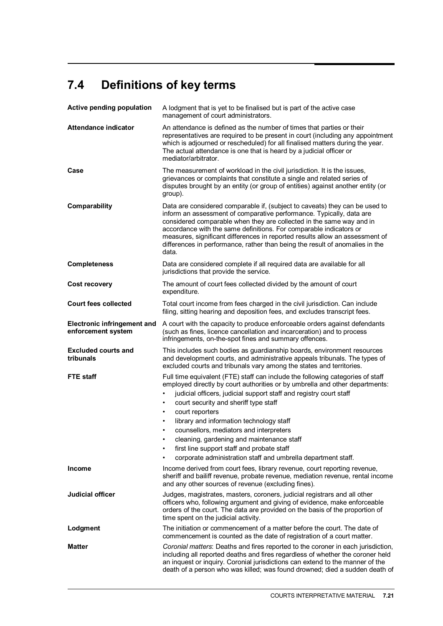# <span id="page-20-0"></span>**7.4 Definitions of key terms**

| <b>Active pending population</b>                         | A lodgment that is yet to be finalised but is part of the active case<br>management of court administrators.                                                                                                                                                                                                                                                                                                                                                                                                                                                                                    |  |  |  |  |  |  |
|----------------------------------------------------------|-------------------------------------------------------------------------------------------------------------------------------------------------------------------------------------------------------------------------------------------------------------------------------------------------------------------------------------------------------------------------------------------------------------------------------------------------------------------------------------------------------------------------------------------------------------------------------------------------|--|--|--|--|--|--|
| <b>Attendance indicator</b>                              | An attendance is defined as the number of times that parties or their<br>representatives are required to be present in court (including any appointment<br>which is adjourned or rescheduled) for all finalised matters during the year.<br>The actual attendance is one that is heard by a judicial officer or<br>mediator/arbitrator.                                                                                                                                                                                                                                                         |  |  |  |  |  |  |
| Case                                                     | The measurement of workload in the civil jurisdiction. It is the issues,<br>grievances or complaints that constitute a single and related series of<br>disputes brought by an entity (or group of entities) against another entity (or<br>group).                                                                                                                                                                                                                                                                                                                                               |  |  |  |  |  |  |
| Comparability                                            | Data are considered comparable if, (subject to caveats) they can be used to<br>inform an assessment of comparative performance. Typically, data are<br>considered comparable when they are collected in the same way and in<br>accordance with the same definitions. For comparable indicators or<br>measures, significant differences in reported results allow an assessment of<br>differences in performance, rather than being the result of anomalies in the<br>data.                                                                                                                      |  |  |  |  |  |  |
| <b>Completeness</b>                                      | Data are considered complete if all required data are available for all<br>jurisdictions that provide the service.                                                                                                                                                                                                                                                                                                                                                                                                                                                                              |  |  |  |  |  |  |
| <b>Cost recovery</b>                                     | The amount of court fees collected divided by the amount of court<br>expenditure.                                                                                                                                                                                                                                                                                                                                                                                                                                                                                                               |  |  |  |  |  |  |
| <b>Court fees collected</b>                              | Total court income from fees charged in the civil jurisdiction. Can include<br>filing, sitting hearing and deposition fees, and excludes transcript fees.                                                                                                                                                                                                                                                                                                                                                                                                                                       |  |  |  |  |  |  |
| <b>Electronic infringement and</b><br>enforcement system | A court with the capacity to produce enforceable orders against defendants<br>(such as fines, licence cancellation and incarceration) and to process<br>infringements, on-the-spot fines and summary offences.                                                                                                                                                                                                                                                                                                                                                                                  |  |  |  |  |  |  |
| <b>Excluded courts and</b><br>tribunals                  | This includes such bodies as guardianship boards, environment resources<br>and development courts, and administrative appeals tribunals. The types of<br>excluded courts and tribunals vary among the states and territories.                                                                                                                                                                                                                                                                                                                                                                   |  |  |  |  |  |  |
| <b>FTE</b> staff                                         | Full time equivalent (FTE) staff can include the following categories of staff<br>employed directly by court authorities or by umbrella and other departments:<br>judicial officers, judicial support staff and registry court staff<br>court security and sheriff type staff<br>٠<br>court reporters<br>$\bullet$<br>library and information technology staff<br>$\bullet$<br>counsellors, mediators and interpreters<br>$\bullet$<br>cleaning, gardening and maintenance staff<br>first line support staff and probate staff<br>corporate administration staff and umbrella department staff. |  |  |  |  |  |  |
| <b>Income</b>                                            | Income derived from court fees, library revenue, court reporting revenue,<br>sheriff and bailiff revenue, probate revenue, mediation revenue, rental income<br>and any other sources of revenue (excluding fines).                                                                                                                                                                                                                                                                                                                                                                              |  |  |  |  |  |  |
| <b>Judicial officer</b>                                  | Judges, magistrates, masters, coroners, judicial registrars and all other<br>officers who, following argument and giving of evidence, make enforceable<br>orders of the court. The data are provided on the basis of the proportion of<br>time spent on the judicial activity.                                                                                                                                                                                                                                                                                                                  |  |  |  |  |  |  |
| Lodgment                                                 | The initiation or commencement of a matter before the court. The date of<br>commencement is counted as the date of registration of a court matter.                                                                                                                                                                                                                                                                                                                                                                                                                                              |  |  |  |  |  |  |
| <b>Matter</b>                                            | Coronial matters: Deaths and fires reported to the coroner in each jurisdiction,<br>including all reported deaths and fires regardless of whether the coroner held<br>an inquest or inquiry. Coronial jurisdictions can extend to the manner of the<br>death of a person who was killed; was found drowned; died a sudden death of                                                                                                                                                                                                                                                              |  |  |  |  |  |  |